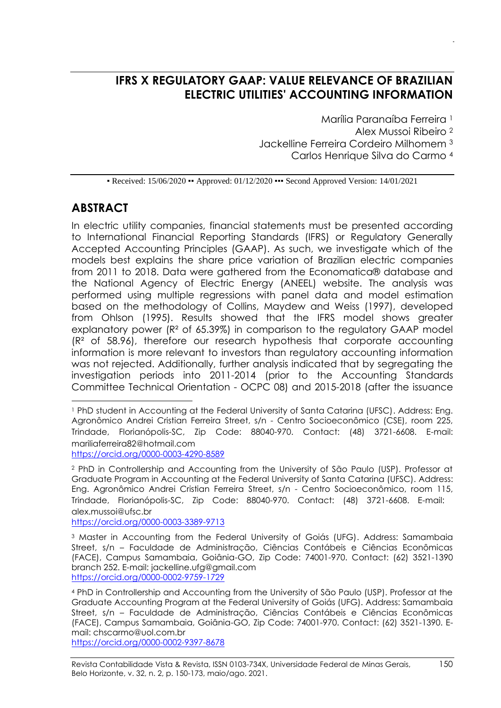# **IFRS X REGULATORY GAAP: VALUE RELEVANCE OF BRAZILIAN ELECTRIC UTILITIES' ACCOUNTING INFORMATION**

Marília Paranaíba Ferreira <sup>1</sup>

Alex Mussoi Ribeiro <sup>2</sup>

Jackelline Ferreira Cordeiro Milhomem <sup>3</sup>

Carlos Henrique Silva do Carmo <sup>4</sup>

• Received: 15/06/2020 • Approved: 01/12/2020 • • Second Approved Version: 14/01/2021

## **ABSTRACT**

In electric utility companies, financial statements must be presented according to International Financial Reporting Standards (IFRS) or Regulatory Generally Accepted Accounting Principles (GAAP). As such, we investigate which of the models best explains the share price variation of Brazilian electric companies from 2011 to 2018. Data were gathered from the Economatica® database and the National Agency of Electric Energy (ANEEL) website. The analysis was performed using multiple regressions with panel data and model estimation based on the methodology of Collins, Maydew and Weiss (1997), developed from Ohlson (1995). Results showed that the IFRS model shows greater explanatory power (R² of 65.39%) in comparison to the regulatory GAAP model  $(R<sup>2</sup>$  of 58.96), therefore our research hypothesis that corporate accounting information is more relevant to investors than regulatory accounting information was not rejected. Additionally, further analysis indicated that by segregating the investigation periods into 2011-2014 (prior to the Accounting Standards Committee Technical Orientation - OCPC 08) and 2015-2018 (after the issuance

<https://orcid.org/0000-0003-4290-8589>

<https://orcid.org/0000-0003-3389-9713>

<https://orcid.org/0000-0002-9397-8678>

<sup>1</sup> PhD student in Accounting at the Federal University of Santa Catarina (UFSC). Address: Eng. Agronômico Andrei Cristian Ferreira Street, s/n - Centro Socioeconômico (CSE), room 225, Trindade, Florianópolis-SC, Zip Code: 88040-970. Contact: (48) 3721-6608. E-mail: [mariliaferreira82@hotmail.com](mailto:mariliaferreira82@hotmail.com)

<sup>2</sup> PhD in Controllership and Accounting from the University of São Paulo (USP). Professor at Graduate Program in Accounting at the Federal University of Santa Catarina (UFSC). Address: Eng. Agronômico Andrei Cristian Ferreira Street, s/n - Centro Socioeconômico, room 115, Trindade, Florianópolis-SC, Zip Code: 88040-970. Contact: (48) 3721-6608. E-mail: alex.mussoi@ufsc.br

<sup>&</sup>lt;sup>3</sup> Master in Accounting from the Federal University of Goiás (UFG). Address: Samambaia Street, s/n – Faculdade de Administração, Ciências Contábeis e Ciências Econômicas (FACE), Campus Samambaia, Goiânia-GO, Zip Code: 74001-970. Contact: (62) 3521-1390 branch 252. E-mail: jackelline.ufg@gmail.com <https://orcid.org/0000-0002-9759-1729>

<sup>4</sup> PhD in Controllership and Accounting from the University of São Paulo (USP). Professor at the Graduate Accounting Program at the Federal University of Goiás (UFG). Address: Samambaia Street, s/n – Faculdade de Administração, Ciências Contábeis e Ciências Econômicas (FACE), Campus Samambaia, Goiânia-GO, Zip Code: 74001-970. Contact: (62) 3521-1390. Email: chscarmo@uol.com.br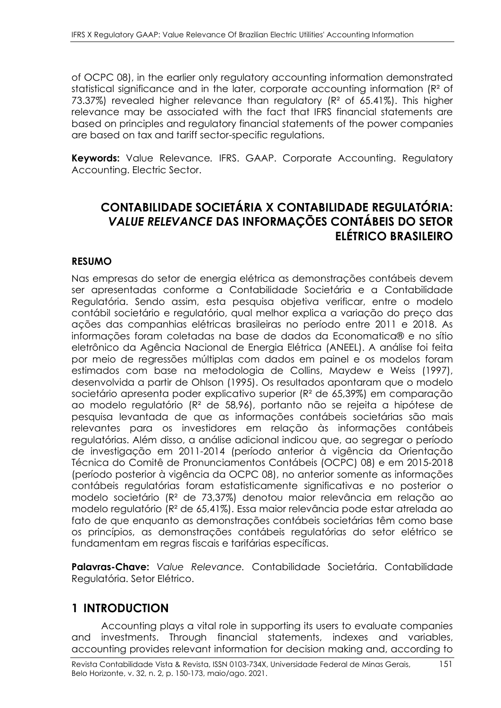of OCPC 08), in the earlier only regulatory accounting information demonstrated statistical significance and in the later, corporate accounting information (R<sup>2</sup> of 73.37%) revealed higher relevance than regulatory (R² of 65.41%). This higher relevance may be associated with the fact that IFRS financial statements are based on principles and regulatory financial statements of the power companies are based on tax and tariff sector-specific regulations.

**Keywords:** Value Relevance*.* IFRS. GAAP. Corporate Accounting. Regulatory Accounting. Electric Sector.

# **CONTABILIDADE SOCIETÁRIA X CONTABILIDADE REGULATÓRIA:**  *VALUE RELEVANCE* **DAS INFORMAÇÕES CONTÁBEIS DO SETOR ELÉTRICO BRASILEIRO**

### **RESUMO**

Nas empresas do setor de energia elétrica as demonstrações contábeis devem ser apresentadas conforme a Contabilidade Societária e a Contabilidade Regulatória. Sendo assim, esta pesquisa objetiva verificar, entre o modelo contábil societário e regulatório, qual melhor explica a variação do preço das ações das companhias elétricas brasileiras no período entre 2011 e 2018. As informações foram coletadas na base de dados da Economatica® e no sítio eletrônico da Agência Nacional de Energia Elétrica (ANEEL). A análise foi feita por meio de regressões múltiplas com dados em painel e os modelos foram estimados com base na metodologia de Collins, Maydew e Weiss (1997), desenvolvida a partir de Ohlson (1995). Os resultados apontaram que o modelo societário apresenta poder explicativo superior (R² de 65,39%) em comparação ao modelo regulatório (R² de 58,96), portanto não se rejeita a hipótese de pesquisa levantada de que as informações contábeis societárias são mais relevantes para os investidores em relação às informações contábeis regulatórias. Além disso, a análise adicional indicou que, ao segregar o período de investigação em 2011-2014 (período anterior à vigência da Orientação Técnica do Comitê de Pronunciamentos Contábeis (OCPC) 08) e em 2015-2018 (período posterior à vigência da OCPC 08), no anterior somente as informações contábeis regulatórias foram estatisticamente significativas e no posterior o modelo societário (R² de 73,37%) denotou maior relevância em relação ao modelo regulatório (R² de 65,41%). Essa maior relevância pode estar atrelada ao fato de que enquanto as demonstrações contábeis societárias têm como base os princípios, as demonstrações contábeis regulatórias do setor elétrico se fundamentam em regras fiscais e tarifárias específicas.

**Palavras-Chave:** *Value Relevance.* Contabilidade Societária. Contabilidade Regulatória. Setor Elétrico.

# **1 INTRODUCTION**

Accounting plays a vital role in supporting its users to evaluate companies and investments. Through financial statements, indexes and variables, accounting provides relevant information for decision making and, according to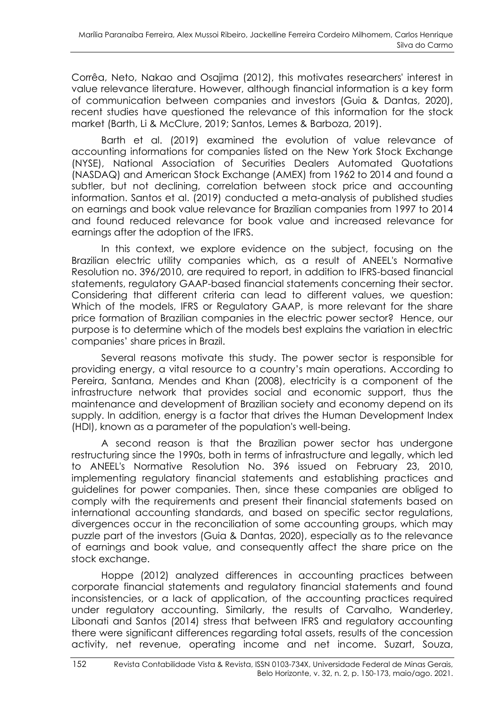Corrêa, Neto, Nakao and Osajima (2012), this motivates researchers' interest in value relevance literature. However, although financial information is a key form of communication between companies and investors (Guia & Dantas, 2020), recent studies have questioned the relevance of this information for the stock market (Barth, Li & McClure, 2019; Santos, Lemes & Barboza, 2019).

Barth et al. (2019) examined the evolution of value relevance of accounting informations for companies listed on the New York Stock Exchange (NYSE), National Association of Securities Dealers Automated Quotations (NASDAQ) and American Stock Exchange (AMEX) from 1962 to 2014 and found a subtler, but not declining, correlation between stock price and accounting information. Santos et al. (2019) conducted a meta-analysis of published studies on earnings and book value relevance for Brazilian companies from 1997 to 2014 and found reduced relevance for book value and increased relevance for earnings after the adoption of the IFRS.

In this context, we explore evidence on the subject, focusing on the Brazilian electric utility companies which, as a result of ANEEL's Normative Resolution no. 396/2010, are required to report, in addition to IFRS-based financial statements, regulatory GAAP-based financial statements concerning their sector. Considering that different criteria can lead to different values, we question: Which of the models, IFRS or Regulatory GAAP, is more relevant for the share price formation of Brazilian companies in the electric power sector? Hence, our purpose is to determine which of the models best explains the variation in electric companies' share prices in Brazil.

Several reasons motivate this study. The power sector is responsible for providing energy, a vital resource to a country's main operations. According to Pereira, Santana, Mendes and Khan (2008), electricity is a component of the infrastructure network that provides social and economic support, thus the maintenance and development of Brazilian society and economy depend on its supply. In addition, energy is a factor that drives the Human Development Index (HDI), known as a parameter of the population's well-being.

A second reason is that the Brazilian power sector has undergone restructuring since the 1990s, both in terms of infrastructure and legally, which led to ANEEL's Normative Resolution No. 396 issued on February 23, 2010, implementing regulatory financial statements and establishing practices and guidelines for power companies. Then, since these companies are obliged to comply with the requirements and present their financial statements based on international accounting standards, and based on specific sector regulations, divergences occur in the reconciliation of some accounting groups, which may puzzle part of the investors (Guia & Dantas, 2020), especially as to the relevance of earnings and book value, and consequently affect the share price on the stock exchange.

Hoppe (2012) analyzed differences in accounting practices between corporate financial statements and regulatory financial statements and found inconsistencies, or a lack of application, of the accounting practices required under regulatory accounting. Similarly, the results of Carvalho, Wanderley, Libonati and Santos (2014) stress that between IFRS and regulatory accounting there were significant differences regarding total assets, results of the concession activity, net revenue, operating income and net income. Suzart, Souza,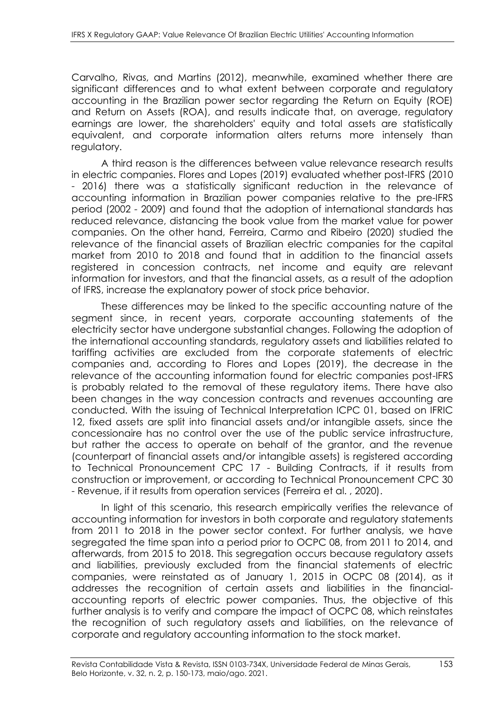Carvalho, Rivas, and Martins (2012), meanwhile, examined whether there are significant differences and to what extent between corporate and regulatory accounting in the Brazilian power sector regarding the Return on Equity (ROE) and Return on Assets (ROA), and results indicate that, on average, regulatory earnings are lower, the shareholders' equity and total assets are statistically equivalent, and corporate information alters returns more intensely than regulatory.

A third reason is the differences between value relevance research results in electric companies. Flores and Lopes (2019) evaluated whether post-IFRS (2010 - 2016) there was a statistically significant reduction in the relevance of accounting information in Brazilian power companies relative to the pre-IFRS period (2002 - 2009) and found that the adoption of international standards has reduced relevance, distancing the book value from the market value for power companies. On the other hand, Ferreira, Carmo and Ribeiro (2020) studied the relevance of the financial assets of Brazilian electric companies for the capital market from 2010 to 2018 and found that in addition to the financial assets registered in concession contracts, net income and equity are relevant information for investors, and that the financial assets, as a result of the adoption of IFRS, increase the explanatory power of stock price behavior.

These differences may be linked to the specific accounting nature of the segment since, in recent years, corporate accounting statements of the electricity sector have undergone substantial changes. Following the adoption of the international accounting standards, regulatory assets and liabilities related to tariffing activities are excluded from the corporate statements of electric companies and, according to Flores and Lopes (2019), the decrease in the relevance of the accounting information found for electric companies post-IFRS is probably related to the removal of these regulatory items. There have also been changes in the way concession contracts and revenues accounting are conducted. With the issuing of Technical Interpretation ICPC 01, based on IFRIC 12, fixed assets are split into financial assets and/or intangible assets, since the concessionaire has no control over the use of the public service infrastructure, but rather the access to operate on behalf of the grantor, and the revenue (counterpart of financial assets and/or intangible assets) is registered according to Technical Pronouncement CPC 17 - Building Contracts, if it results from construction or improvement, or according to Technical Pronouncement CPC 30 - Revenue, if it results from operation services (Ferreira et al. , 2020).

In light of this scenario, this research empirically verifies the relevance of accounting information for investors in both corporate and regulatory statements from 2011 to 2018 in the power sector context. For further analysis, we have segregated the time span into a period prior to OCPC 08, from 2011 to 2014, and afterwards, from 2015 to 2018. This segregation occurs because regulatory assets and liabilities, previously excluded from the financial statements of electric companies, were reinstated as of January 1, 2015 in OCPC 08 (2014), as it addresses the recognition of certain assets and liabilities in the financialaccounting reports of electric power companies. Thus, the objective of this further analysis is to verify and compare the impact of OCPC 08, which reinstates the recognition of such regulatory assets and liabilities, on the relevance of corporate and regulatory accounting information to the stock market.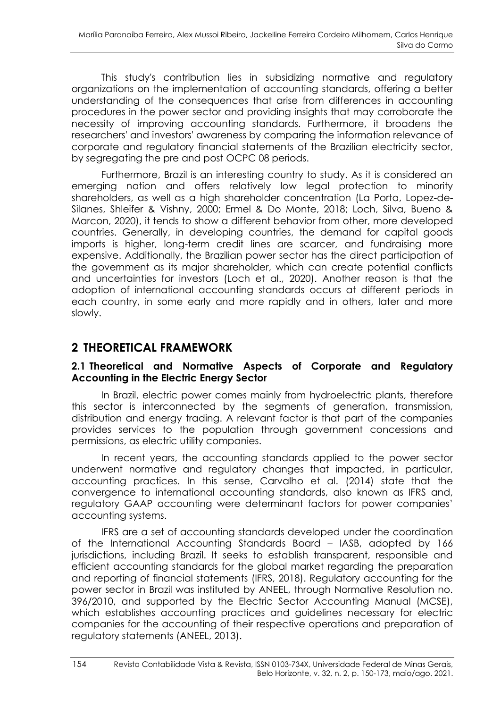This study's contribution lies in subsidizing normative and regulatory organizations on the implementation of accounting standards, offering a better understanding of the consequences that arise from differences in accounting procedures in the power sector and providing insights that may corroborate the necessity of improving accounting standards. Furthermore, it broadens the researchers' and investors' awareness by comparing the information relevance of corporate and regulatory financial statements of the Brazilian electricity sector, by segregating the pre and post OCPC 08 periods.

Furthermore, Brazil is an interesting country to study. As it is considered an emerging nation and offers relatively low legal protection to minority shareholders, as well as a high shareholder concentration (La Porta, Lopez-de-Silanes, Shleifer & Vishny, 2000; Ermel & Do Monte, 2018; Loch, Silva, Bueno & Marcon, 2020), it tends to show a different behavior from other, more developed countries. Generally, in developing countries, the demand for capital goods imports is higher, long-term credit lines are scarcer, and fundraising more expensive. Additionally, the Brazilian power sector has the direct participation of the government as its major shareholder, which can create potential conflicts and uncertainties for investors (Loch et al., 2020). Another reason is that the adoption of international accounting standards occurs at different periods in each country, in some early and more rapidly and in others, later and more slowly.

# **2 THEORETICAL FRAMEWORK**

### **2.1 Theoretical and Normative Aspects of Corporate and Regulatory Accounting in the Electric Energy Sector**

In Brazil, electric power comes mainly from hydroelectric plants, therefore this sector is interconnected by the segments of generation, transmission, distribution and energy trading. A relevant factor is that part of the companies provides services to the population through government concessions and permissions, as electric utility companies.

In recent years, the accounting standards applied to the power sector underwent normative and regulatory changes that impacted, in particular, accounting practices. In this sense, Carvalho et al. (2014) state that the convergence to international accounting standards, also known as IFRS and, regulatory GAAP accounting were determinant factors for power companies' accounting systems.

IFRS are a set of accounting standards developed under the coordination of the International Accounting Standards Board – IASB, adopted by 166 jurisdictions, including Brazil. It seeks to establish transparent, responsible and efficient accounting standards for the global market regarding the preparation and reporting of financial statements (IFRS, 2018). Regulatory accounting for the power sector in Brazil was instituted by ANEEL, through Normative Resolution no. 396/2010, and supported by the Electric Sector Accounting Manual (MCSE), which establishes accounting practices and guidelines necessary for electric companies for the accounting of their respective operations and preparation of regulatory statements (ANEEL, 2013).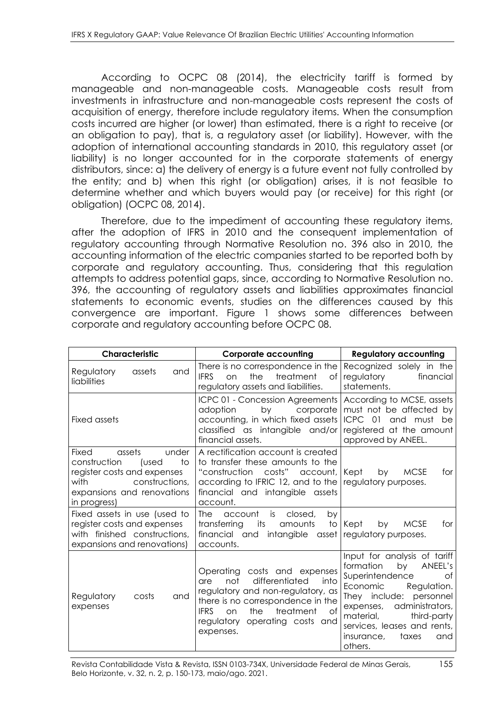According to OCPC 08 (2014), the electricity tariff is formed by manageable and non-manageable costs. Manageable costs result from investments in infrastructure and non-manageable costs represent the costs of acquisition of energy, therefore include regulatory items. When the consumption costs incurred are higher (or lower) than estimated, there is a right to receive (or an obligation to pay), that is, a regulatory asset (or liability). However, with the adoption of international accounting standards in 2010, this regulatory asset (or liability) is no longer accounted for in the corporate statements of energy distributors, since: a) the delivery of energy is a future event not fully controlled by the entity; and b) when this right (or obligation) arises, it is not feasible to determine whether and which buyers would pay (or receive) for this right (or obligation) (OCPC 08, 2014).

Therefore, due to the impediment of accounting these regulatory items, after the adoption of IFRS in 2010 and the consequent implementation of regulatory accounting through Normative Resolution no. 396 also in 2010, the accounting information of the electric companies started to be reported both by corporate and regulatory accounting. Thus, considering that this regulation attempts to address potential gaps, since, according to Normative Resolution no. 396, the accounting of regulatory assets and liabilities approximates financial statements to economic events, studies on the differences caused by this convergence are important. Figure 1 shows some differences between corporate and regulatory accounting before OCPC 08.

| Characteristic                                                                                                                                                 | <b>Corporate accounting</b>                                                                                                                                                                                                                  | <b>Regulatory accounting</b>                                                                                                                                                                                                                                                  |  |
|----------------------------------------------------------------------------------------------------------------------------------------------------------------|----------------------------------------------------------------------------------------------------------------------------------------------------------------------------------------------------------------------------------------------|-------------------------------------------------------------------------------------------------------------------------------------------------------------------------------------------------------------------------------------------------------------------------------|--|
| Regulatory<br>and<br>assets<br>liabilities                                                                                                                     | There is no correspondence in the<br>the<br>treatment<br><b>IFRS</b><br>on<br>Оf<br>regulatory assets and liabilities.                                                                                                                       | Recognized solely in the<br>regulatory<br>financial<br>statements.                                                                                                                                                                                                            |  |
| <b>Fixed assets</b>                                                                                                                                            | ICPC 01 - Concession Agreements  <br>by<br>corporate<br>adoption<br>accounting, in which fixed assets<br>classified as intangible and/or<br>financial assets.                                                                                | According to MCSE, assets<br>must not be affected by<br>ICPC 01<br>and must be<br>registered at the amount<br>approved by ANEEL.                                                                                                                                              |  |
| assets<br>under<br>Fixed<br>construction<br>to<br>(used<br>register costs and expenses<br>constructions,<br>with<br>expansions and renovations<br>in progress) | A rectification account is created<br>to transfer these amounts to the<br>costs" account,<br>"construction<br>according to IFRIC 12, and to the<br>financial and intangible assets<br>account.                                               | Kept<br>by<br><b>MCSE</b><br>for<br>regulatory purposes.                                                                                                                                                                                                                      |  |
| Fixed assets in use (used to<br>register costs and expenses<br>with finished constructions,<br>expansions and renovations)                                     | The<br>closed,<br>by<br>account<br>is<br>transferring<br>its<br>amounts<br>financial and intangible asset<br>accounts.                                                                                                                       | to Kept<br><b>MCSE</b><br>by<br>for<br>regulatory purposes.                                                                                                                                                                                                                   |  |
| Regulatory<br>costs<br>and<br>expenses                                                                                                                         | Operating costs and expenses<br>differentiated<br>not<br>into<br>are<br>regulatory and non-regulatory, as<br>there is no correspondence in the<br>the<br>treatment<br>of<br><b>IFRS</b><br>on<br>regulatory operating costs and<br>expenses. | Input for analysis of tariff<br>formation<br>by<br>ANEEL's<br>Superintendence<br>Οf<br>Economic<br>Regulation.<br>They include: personnel<br>administrators,<br>expenses,<br>material,<br>third-party<br>services, leases and rents,<br>insurance,<br>taxes<br>and<br>others. |  |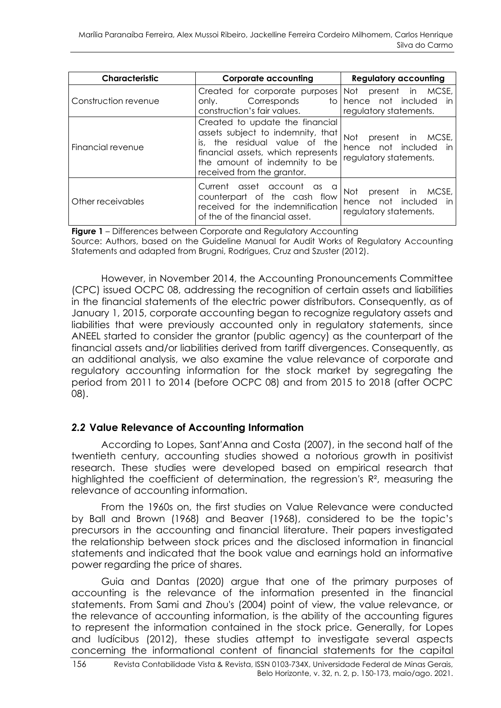| <b>Characteristic</b> | <b>Corporate accounting</b>                                                                                                                                                                                | <b>Regulatory accounting</b>                                                     |
|-----------------------|------------------------------------------------------------------------------------------------------------------------------------------------------------------------------------------------------------|----------------------------------------------------------------------------------|
| Construction revenue  | Created for corporate purposes<br>Corresponds<br>only.<br>construction's fair values.                                                                                                                      | present in MCSE,<br>Not<br>to hence not included<br>in<br>regulatory statements. |
| Financial revenue     | Created to update the financial<br>assets subject to indemnity, that<br>is, the residual value of the<br>financial assets, which represents<br>the amount of indemnity to be<br>received from the grantor. | present in MCSE,<br>Not<br>hence not included<br>in<br>regulatory statements.    |
| Other receivables     | asset account as<br>Current<br>a<br>counterpart of the cash flow<br>received for the indemnification<br>of the of the financial asset.                                                                     | present in MCSE,<br>Not<br>hence not included<br>in.<br>regulatory statements.   |

**Figure 1** – Differences between Corporate and Regulatory Accounting

Source: Authors, based on the Guideline Manual for Audit Works of Regulatory Accounting Statements and adapted from Brugni, Rodrigues, Cruz and Szuster (2012).

However, in November 2014, the Accounting Pronouncements Committee (CPC) issued OCPC 08, addressing the recognition of certain assets and liabilities in the financial statements of the electric power distributors. Consequently, as of January 1, 2015, corporate accounting began to recognize regulatory assets and liabilities that were previously accounted only in regulatory statements, since ANEEL started to consider the grantor (public agency) as the counterpart of the financial assets and/or liabilities derived from tariff divergences. Consequently, as an additional analysis, we also examine the value relevance of corporate and regulatory accounting information for the stock market by segregating the period from 2011 to 2014 (before OCPC 08) and from 2015 to 2018 (after OCPC 08).

#### *2.2* **Value Relevance of Accounting Information**

According to Lopes, Sant'Anna and Costa (2007), in the second half of the twentieth century, accounting studies showed a notorious growth in positivist research. These studies were developed based on empirical research that highlighted the coefficient of determination, the regression's  $R<sup>2</sup>$ , measuring the relevance of accounting information.

From the 1960s on, the first studies on Value Relevance were conducted by Ball and Brown (1968) and Beaver (1968), considered to be the topic's precursors in the accounting and financial literature. Their papers investigated the relationship between stock prices and the disclosed information in financial statements and indicated that the book value and earnings hold an informative power regarding the price of shares.

Guia and Dantas (2020) argue that one of the primary purposes of accounting is the relevance of the information presented in the financial statements. From Sami and Zhou's (2004) point of view, the value relevance, or the relevance of accounting information, is the ability of the accounting figures to represent the information contained in the stock price. Generally, for Lopes and Iudícibus (2012), these studies attempt to investigate several aspects concerning the informational content of financial statements for the capital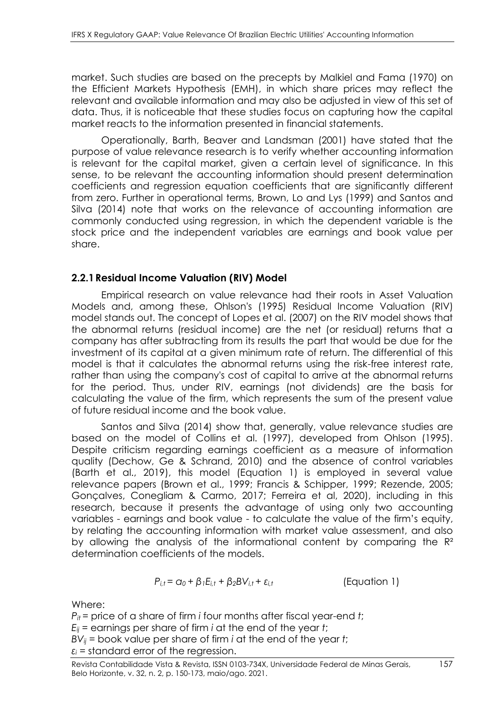market. Such studies are based on the precepts by Malkiel and Fama (1970) on the Efficient Markets Hypothesis (EMH), in which share prices may reflect the relevant and available information and may also be adjusted in view of this set of data. Thus, it is noticeable that these studies focus on capturing how the capital market reacts to the information presented in financial statements.

Operationally, Barth, Beaver and Landsman (2001) have stated that the purpose of value relevance research is to verify whether accounting information is relevant for the capital market, given a certain level of significance. In this sense, to be relevant the accounting information should present determination coefficients and regression equation coefficients that are significantly different from zero. Further in operational terms, Brown, Lo and Lys (1999) and Santos and Silva (2014) note that works on the relevance of accounting information are commonly conducted using regression, in which the dependent variable is the stock price and the independent variables are earnings and book value per share.

### **2.2.1Residual Income Valuation (RIV) Model**

Empirical research on value relevance had their roots in Asset Valuation Models and, among these, Ohlson's (1995) Residual Income Valuation (RIV) model stands out. The concept of Lopes et al. (2007) on the RIV model shows that the abnormal returns (residual income) are the net (or residual) returns that a company has after subtracting from its results the part that would be due for the investment of its capital at a given minimum rate of return. The differential of this model is that it calculates the abnormal returns using the risk-free interest rate, rather than using the company's cost of capital to arrive at the abnormal returns for the period. Thus, under RIV, earnings (not dividends) are the basis for calculating the value of the firm, which represents the sum of the present value of future residual income and the book value.

Santos and Silva (2014) show that, generally, value relevance studies are based on the model of Collins et al. (1997), developed from Ohlson (1995). Despite criticism regarding earnings coefficient as a measure of information quality (Dechow, Ge & Schrand, 2010) and the absence of control variables (Barth et al., 2019), this model (Equation 1) is employed in several value relevance papers (Brown et al., 1999; Francis & Schipper, 1999; Rezende, 2005; Gonçalves, Conegliam & Carmo, 2017; Ferreira et al, 2020), including in this research, because it presents the advantage of using only two accounting variables - earnings and book value - to calculate the value of the firm's equity, by relating the accounting information with market value assessment, and also by allowing the analysis of the informational content by comparing the  $\mathbb{R}^2$ determination coefficients of the models.

$$
P_{i,t} = \alpha_0 + \beta_1 E_{i,t} + \beta_2 BV_{i,t} + \varepsilon_{i,t}
$$
 (Equation 1)

Where:

*Pit* = price of a share of firm *i* four months after fiscal year-end *t*;  $E_{ii}$  = earnings per share of firm *i* at the end of the year *t*; *BVij* = book value per share of firm *i* at the end of the year *t*;  $\varepsilon$ <sup>*i*</sup> = standard error of the regression.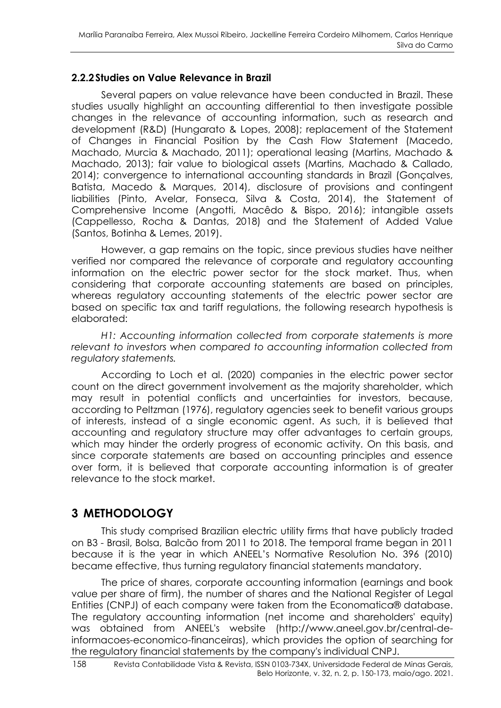#### **2.2.2Studies on Value Relevance in Brazil**

Several papers on value relevance have been conducted in Brazil. These studies usually highlight an accounting differential to then investigate possible changes in the relevance of accounting information, such as research and development (R&D) (Hungarato & Lopes, 2008); replacement of the Statement of Changes in Financial Position by the Cash Flow Statement (Macedo, Machado, Murcia & Machado, 2011); operational leasing (Martins, Machado & Machado, 2013); fair value to biological assets (Martins, Machado & Callado, 2014); convergence to international accounting standards in Brazil (Gonçalves, Batista, Macedo & Marques, 2014), disclosure of provisions and contingent liabilities (Pinto, Avelar, Fonseca, Silva & Costa, 2014), the Statement of Comprehensive Income (Angotti, Macêdo & Bispo, 2016); intangible assets (Cappellesso, Rocha & Dantas, 2018) and the Statement of Added Value (Santos, Botinha & Lemes, 2019).

However, a gap remains on the topic, since previous studies have neither verified nor compared the relevance of corporate and regulatory accounting information on the electric power sector for the stock market. Thus, when considering that corporate accounting statements are based on principles, whereas regulatory accounting statements of the electric power sector are based on specific tax and tariff regulations, the following research hypothesis is elaborated:

*H1: Accounting information collected from corporate statements is more relevant to investors when compared to accounting information collected from regulatory statements.*

According to Loch et al. (2020) companies in the electric power sector count on the direct government involvement as the majority shareholder, which may result in potential conflicts and uncertainties for investors, because, according to Peltzman (1976), regulatory agencies seek to benefit various groups of interests, instead of a single economic agent. As such, it is believed that accounting and regulatory structure may offer advantages to certain groups, which may hinder the orderly progress of economic activity. On this basis, and since corporate statements are based on accounting principles and essence over form, it is believed that corporate accounting information is of greater relevance to the stock market.

# **3 METHODOLOGY**

This study comprised Brazilian electric utility firms that have publicly traded on B3 - Brasil, Bolsa, Balcão from 2011 to 2018. The temporal frame began in 2011 because it is the year in which ANEEL's Normative Resolution No. 396 (2010) became effective, thus turning regulatory financial statements mandatory.

The price of shares, corporate accounting information (earnings and book value per share of firm), the number of shares and the National Register of Legal Entities (CNPJ) of each company were taken from the Economatica® database. The regulatory accounting information (net income and shareholders' equity) was obtained from ANEEL's website (http://www.aneel.gov.br/central-deinformacoes-economico-financeiras), which provides the option of searching for the regulatory financial statements by the company's individual CNPJ.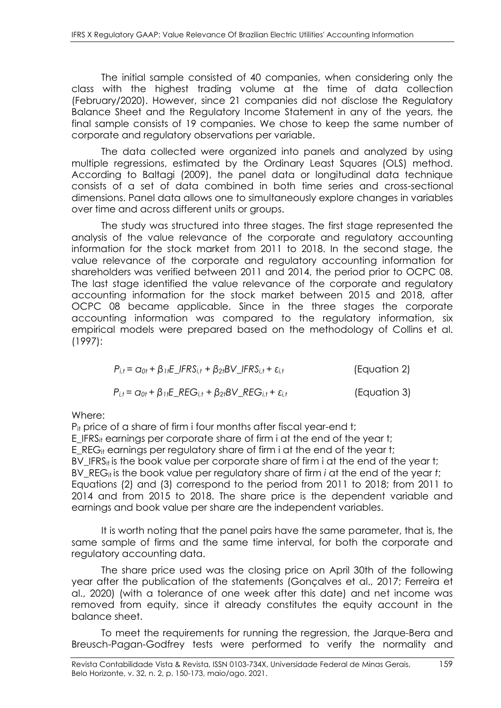The initial sample consisted of 40 companies, when considering only the class with the highest trading volume at the time of data collection (February/2020). However, since 21 companies did not disclose the Regulatory Balance Sheet and the Regulatory Income Statement in any of the years, the final sample consists of 19 companies. We chose to keep the same number of corporate and regulatory observations per variable.

The data collected were organized into panels and analyzed by using multiple regressions, estimated by the Ordinary Least Squares (OLS) method. According to Baltagi (2009), the panel data or longitudinal data technique consists of a set of data combined in both time series and cross-sectional dimensions. Panel data allows one to simultaneously explore changes in variables over time and across different units or groups.

The study was structured into three stages. The first stage represented the analysis of the value relevance of the corporate and regulatory accounting information for the stock market from 2011 to 2018. In the second stage, the value relevance of the corporate and regulatory accounting information for shareholders was verified between 2011 and 2014, the period prior to OCPC 08. The last stage identified the value relevance of the corporate and regulatory accounting information for the stock market between 2015 and 2018, after OCPC 08 became applicable. Since in the three stages the corporate accounting information was compared to the regulatory information, six empirical models were prepared based on the methodology of Collins et al. (1997):

 $P_{i,t} = \alpha_{0t} + \beta_{1t}E_{i}FRS_{i,t} + \beta_{2t}BV_{i}FRS_{i,t} + \varepsilon_{i,t}$  (Equation 2)

 $P_{i,t} = \alpha_{0t} + \beta_{1t}E\_REG_{i,t} + \beta_{2t}BV\_REG_{i,t} + \varepsilon_{i,t}$  (Equation 3)

Where:

 $P_{it}$  price of a share of firm i four months after fiscal year-end t; E IFRS<sub>it</sub> earnings per corporate share of firm i at the end of the year t; E REG<sub>it</sub> earnings per regulatory share of firm i at the end of the year t; BV\_IFRS<sub>it</sub> is the book value per corporate share of firm  $i$  at the end of the year t; BV REG<sub>it</sub> is the book value per regulatory share of firm *i* at the end of the year *t*; Equations (2) and (3) correspond to the period from 2011 to 2018; from 2011 to 2014 and from 2015 to 2018. The share price is the dependent variable and earnings and book value per share are the independent variables.

It is worth noting that the panel pairs have the same parameter, that is, the same sample of firms and the same time interval, for both the corporate and regulatory accounting data.

The share price used was the closing price on April 30th of the following year after the publication of the statements (Gonçalves et al., 2017; Ferreira et al., 2020) (with a tolerance of one week after this date) and net income was removed from equity, since it already constitutes the equity account in the balance sheet.

To meet the requirements for running the regression, the Jarque-Bera and Breusch-Pagan-Godfrey tests were performed to verify the normality and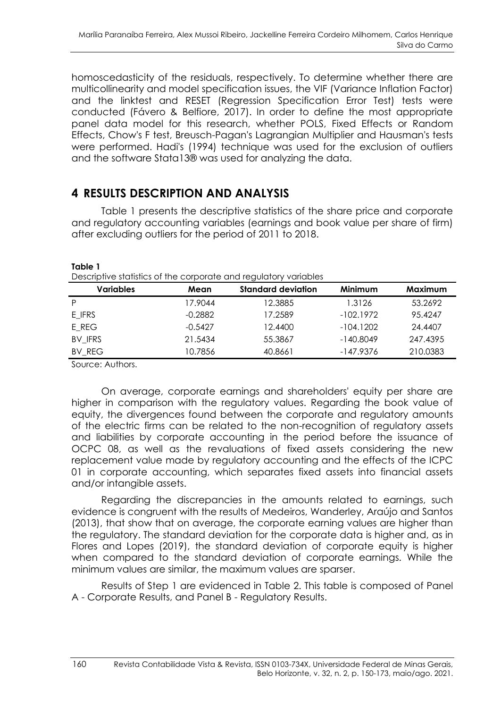homoscedasticity of the residuals, respectively. To determine whether there are multicollinearity and model specification issues, the VIF (Variance Inflation Factor) and the linktest and RESET (Regression Specification Error Test) tests were conducted (Fávero & Belfiore, 2017). In order to define the most appropriate panel data model for this research, whether POLS, Fixed Effects or Random Effects, Chow's F test, Breusch-Pagan's Lagrangian Multiplier and Hausman's tests were performed. Hadi's (1994) technique was used for the exclusion of outliers and the software Stata13® was used for analyzing the data.

# **4 RESULTS DESCRIPTION AND ANALYSIS**

Table 1 presents the descriptive statistics of the share price and corporate and regulatory accounting variables (earnings and book value per share of firm) after excluding outliers for the period of 2011 to 2018.

| Descriptive statistics of the corporate and regulatory variables |           |                           |             |          |  |  |
|------------------------------------------------------------------|-----------|---------------------------|-------------|----------|--|--|
| <b>Variables</b>                                                 | Mean      | <b>Standard deviation</b> | Minimum     | Maximum  |  |  |
| P                                                                | 17.9044   | 12.3885                   | 1.3126      | 53.2692  |  |  |
| E IFRS                                                           | $-0.2882$ | 17.2589                   | $-102.1972$ | 95.4247  |  |  |
| E_REG                                                            | $-0.5427$ | 12.4400                   | $-104.1202$ | 24.4407  |  |  |
| BV IFRS                                                          | 21.5434   | 55.3867                   | $-140.8049$ | 247.4395 |  |  |
| BV REG                                                           | 10.7856   | 40.8661                   | $-147.9376$ | 210.0383 |  |  |
|                                                                  |           |                           |             |          |  |  |

**Table 1**

Source: Authors.

On average, corporate earnings and shareholders' equity per share are higher in comparison with the regulatory values. Regarding the book value of equity, the divergences found between the corporate and regulatory amounts of the electric firms can be related to the non-recognition of regulatory assets and liabilities by corporate accounting in the period before the issuance of OCPC 08, as well as the revaluations of fixed assets considering the new replacement value made by regulatory accounting and the effects of the ICPC 01 in corporate accounting, which separates fixed assets into financial assets and/or intangible assets.

Regarding the discrepancies in the amounts related to earnings, such evidence is congruent with the results of Medeiros, Wanderley, Araújo and Santos (2013), that show that on average, the corporate earning values are higher than the regulatory. The standard deviation for the corporate data is higher and, as in Flores and Lopes (2019), the standard deviation of corporate equity is higher when compared to the standard deviation of corporate earnings. While the minimum values are similar, the maximum values are sparser.

Results of Step 1 are evidenced in Table 2. This table is composed of Panel A - Corporate Results, and Panel B - Regulatory Results.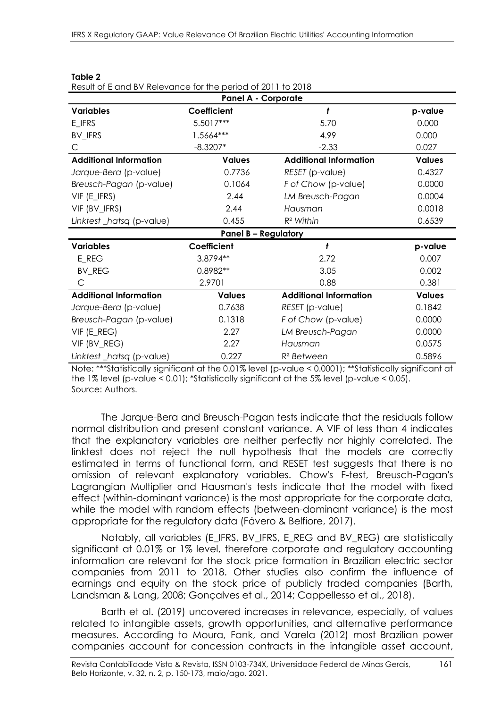| <b>Panel A - Corporate</b>    |                             |                               |               |  |  |
|-------------------------------|-----------------------------|-------------------------------|---------------|--|--|
| <b>Variables</b>              | Coefficient                 | ł                             | p-value       |  |  |
| E_IFRS                        | 5.5017***                   | 5.70                          | 0.000         |  |  |
| BV_IFRS                       | 1.5664***                   | 4.99                          | 0.000         |  |  |
| C.                            | $-8.3207*$                  | $-2.33$                       | 0.027         |  |  |
| <b>Additional Information</b> | <b>Values</b>               | <b>Additional Information</b> | <b>Values</b> |  |  |
| Jarque-Bera (p-value)         | 0.7736                      | RESET (p-value)               | 0.4327        |  |  |
| Breusch-Pagan (p-value)       | 0.1064                      | F of Chow (p-value)           | 0.0000        |  |  |
| VIF (E_IFRS)                  | 2.44                        | LM Breusch-Pagan              | 0.0004        |  |  |
| VIF (BV_IFRS)                 | 2.44                        | Hausman                       | 0.0018        |  |  |
| Linktest _hatsq (p-value)     | 0.455                       | $R^2$ Within                  | 0.6539        |  |  |
|                               | <b>Panel B - Regulatory</b> |                               |               |  |  |
| <b>Variables</b>              | Coefficient                 | ł                             | p-value       |  |  |
| E_REG                         | 3.8794**                    | 2.72                          | 0.007         |  |  |
| <b>BV_REG</b>                 | 0.8982**                    | 3.05                          | 0.002         |  |  |
| C                             | 2.9701                      | 0.88                          | 0.381         |  |  |
| <b>Additional Information</b> | <b>Values</b>               | <b>Additional Information</b> | <b>Values</b> |  |  |
| Jarque-Bera (p-value)         | 0.7638                      | RESET (p-value)               | 0.1842        |  |  |
| Breusch-Pagan (p-value)       | 0.1318                      | F of Chow (p-value)           | 0.0000        |  |  |
| VIF (E_REG)                   | 2.27                        | LM Breusch-Pagan              | 0.0000        |  |  |
| VIF (BV_REG)                  | 2.27                        | Hausman                       | 0.0575        |  |  |
| Linktest_hatsq (p-value)      | 0.227                       | R <sup>2</sup> Between        | 0.5896        |  |  |

#### **Table 2** Result of E and BV Relevance for the period of 2011 to 2018

Note: \*\*\*Statistically significant at the 0.01% level (p-value < 0.0001); \*\*Statistically significant at the 1% level (p-value < 0.01); \*Statistically significant at the 5% level (p-value < 0.05). Source: Authors.

The Jarque-Bera and Breusch-Pagan tests indicate that the residuals follow normal distribution and present constant variance. A VIF of less than 4 indicates that the explanatory variables are neither perfectly nor highly correlated. The linktest does not reject the null hypothesis that the models are correctly estimated in terms of functional form, and RESET test suggests that there is no omission of relevant explanatory variables. Chow's F-test, Breusch-Pagan's Lagrangian Multiplier and Hausman's tests indicate that the model with fixed effect (within-dominant variance) is the most appropriate for the corporate data, while the model with random effects (between-dominant variance) is the most appropriate for the regulatory data (Fávero & Belfiore, 2017).

Notably, all variables (E\_IFRS, BV\_IFRS, E\_REG and BV\_REG) are statistically significant at 0.01% or 1% level, therefore corporate and regulatory accounting information are relevant for the stock price formation in Brazilian electric sector companies from 2011 to 2018. Other studies also confirm the influence of earnings and equity on the stock price of publicly traded companies (Barth, Landsman & Lang, 2008; Gonçalves et al., 2014; Cappellesso et al., 2018).

Barth et al. (2019) uncovered increases in relevance, especially, of values related to intangible assets, growth opportunities, and alternative performance measures. According to Moura, Fank, and Varela (2012) most Brazilian power companies account for concession contracts in the intangible asset account,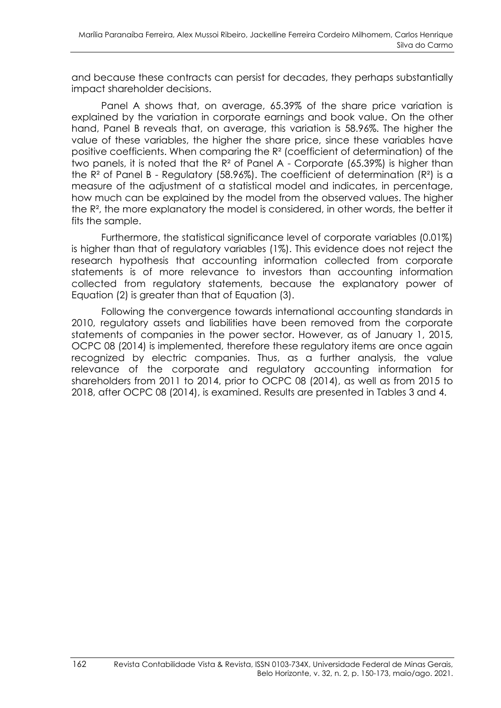and because these contracts can persist for decades, they perhaps substantially impact shareholder decisions.

Panel A shows that, on average, 65.39% of the share price variation is explained by the variation in corporate earnings and book value. On the other hand, Panel B reveals that, on average, this variation is 58.96%. The higher the value of these variables, the higher the share price, since these variables have positive coefficients. When comparing the R² (coefficient of determination) of the two panels, it is noted that the R² of Panel A - Corporate (65.39%) is higher than the  $R<sup>2</sup>$  of Panel B - Regulatory (58.96%). The coefficient of determination ( $R<sup>2</sup>$ ) is a measure of the adjustment of a statistical model and indicates, in percentage, how much can be explained by the model from the observed values. The higher the R², the more explanatory the model is considered, in other words, the better it fits the sample.

Furthermore, the statistical significance level of corporate variables (0.01%) is higher than that of regulatory variables (1%). This evidence does not reject the research hypothesis that accounting information collected from corporate statements is of more relevance to investors than accounting information collected from regulatory statements, because the explanatory power of Equation (2) is greater than that of Equation (3).

Following the convergence towards international accounting standards in 2010, regulatory assets and liabilities have been removed from the corporate statements of companies in the power sector. However, as of January 1, 2015, OCPC 08 (2014) is implemented, therefore these regulatory items are once again recognized by electric companies. Thus, as a further analysis, the value relevance of the corporate and regulatory accounting information for shareholders from 2011 to 2014, prior to OCPC 08 (2014), as well as from 2015 to 2018, after OCPC 08 (2014), is examined. Results are presented in Tables 3 and 4.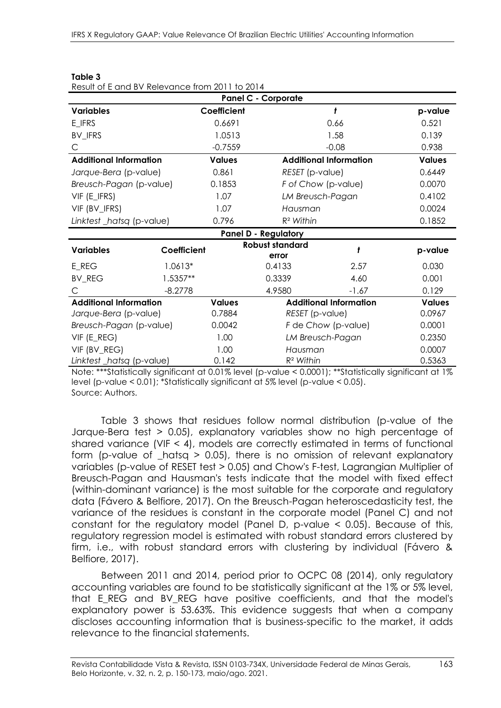| <b>Panel C - Corporate</b>                                                                                                                              |             |               |                                 |                               |               |
|---------------------------------------------------------------------------------------------------------------------------------------------------------|-------------|---------------|---------------------------------|-------------------------------|---------------|
| <b>Variables</b>                                                                                                                                        |             | Coefficient   |                                 | ł                             | p-value       |
| E_IFRS                                                                                                                                                  |             | 0.6691        |                                 | 0.66                          | 0.521         |
| <b>BV_IFRS</b>                                                                                                                                          |             | 1.0513        |                                 | 1.58                          | 0.139         |
| С                                                                                                                                                       |             | $-0.7559$     |                                 | $-0.08$                       | 0.938         |
| <b>Additional Information</b>                                                                                                                           |             | <b>Values</b> |                                 | <b>Additional Information</b> | <b>Values</b> |
| Jarque-Bera (p-value)                                                                                                                                   |             | 0.861         | RESET (p-value)                 |                               | 0.6449        |
| Breusch-Pagan (p-value)                                                                                                                                 |             | 0.1853        | F of Chow (p-value)             |                               | 0.0070        |
| VIF (E_IFRS)                                                                                                                                            |             | 1.07          | LM Breusch-Pagan                |                               | 0.4102        |
| VIF (BV_IFRS)                                                                                                                                           |             | 1.07          | Hausman                         |                               | 0.0024        |
| Linktest_hatsq (p-value)                                                                                                                                |             | 0.796         | $R^2$ Within                    |                               | 0.1852        |
|                                                                                                                                                         |             |               | <b>Panel D - Regulatory</b>     |                               |               |
| <b>Variables</b>                                                                                                                                        | Coefficient |               | <b>Robust standard</b><br>error |                               | p-value       |
| E_REG                                                                                                                                                   | 1.0613*     |               | 0.4133                          | 2.57                          | 0.030         |
| <b>BV_REG</b>                                                                                                                                           | 1.5357**    |               | 0.3339                          | 4.60                          | 0.001         |
| C.                                                                                                                                                      | $-8.2778$   |               | 4.9580                          | $-1.67$                       | 0.129         |
| <b>Additional Information</b>                                                                                                                           |             | <b>Values</b> |                                 | <b>Additional Information</b> | <b>Values</b> |
| Jarque-Bera (p-value)                                                                                                                                   |             | 0.7884        | RESET (p-value)                 |                               | 0.0967        |
| 0.0042<br>Breusch-Pagan (p-value)                                                                                                                       |             |               | F de Chow (p-value)             |                               | 0.0001        |
| VIF (E_REG)                                                                                                                                             |             | 1.00          | LM Breusch-Pagan                |                               | 0.2350        |
| VIF (BV_REG)                                                                                                                                            |             | 1.00          | Hausman                         |                               | 0.0007        |
| Linktest_hatsq (p-value)<br>$h_{\text{total}}$ ***Chatiationly significant at 0.0107 loyal la value $\times$ 0.0001), **Chatiationly significant at 107 |             | 0.142         | $R^2$ Within                    |                               | 0.5363        |

#### **Table 3**

Result of E and BV Relevance from 2011 to 2014

\*Statistically significant at 0.01% level (p-value < 0.0001); \*\*Statistically significant at 1% level (p-value < 0.01); \*Statistically significant at 5% level (p-value < 0.05). Source: Authors.

Table 3 shows that residues follow normal distribution (p-value of the Jarque-Bera test > 0.05), explanatory variables show no high percentage of shared variance (VIF < 4), models are correctly estimated in terms of functional form (p-value of \_hatsq > 0.05), there is no omission of relevant explanatory variables (p-value of RESET test > 0.05) and Chow's F-test, Lagrangian Multiplier of Breusch-Pagan and Hausman's tests indicate that the model with fixed effect (within-dominant variance) is the most suitable for the corporate and regulatory data (Fávero & Belfiore, 2017). On the Breusch-Pagan heteroscedasticity test, the variance of the residues is constant in the corporate model (Panel C) and not constant for the regulatory model (Panel D, p-value < 0.05). Because of this, regulatory regression model is estimated with robust standard errors clustered by firm, i.e., with robust standard errors with clustering by individual (Fávero & Belfiore, 2017).

Between 2011 and 2014, period prior to OCPC 08 (2014), only regulatory accounting variables are found to be statistically significant at the 1% or 5% level, that E\_REG and BV\_REG have positive coefficients, and that the model's explanatory power is 53.63%. This evidence suggests that when a company discloses accounting information that is business-specific to the market, it adds relevance to the financial statements.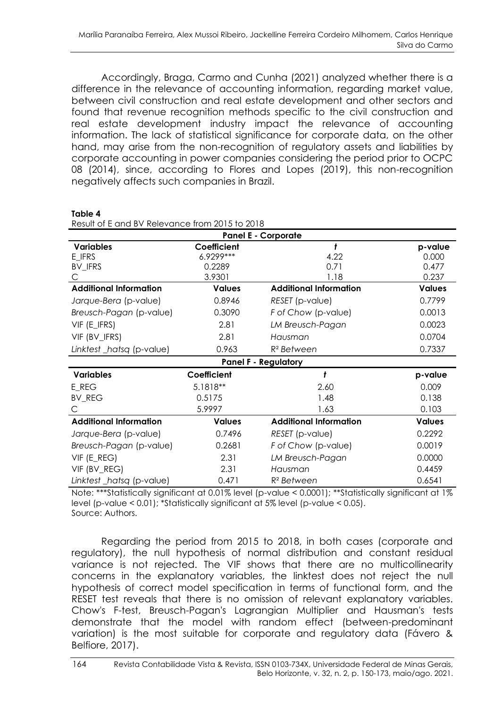Accordingly, Braga, Carmo and Cunha (2021) analyzed whether there is a difference in the relevance of accounting information, regarding market value, between civil construction and real estate development and other sectors and found that revenue recognition methods specific to the civil construction and real estate development industry impact the relevance of accounting information. The lack of statistical significance for corporate data, on the other hand, may arise from the non-recognition of regulatory assets and liabilities by corporate accounting in power companies considering the period prior to OCPC 08 (2014), since, according to Flores and Lopes (2019), this non-recognition negatively affects such companies in Brazil.

| Result of E and BV Relevance from 2015 to 2018 |                             |                               |               |  |  |  |
|------------------------------------------------|-----------------------------|-------------------------------|---------------|--|--|--|
| <b>Panel E - Corporate</b>                     |                             |                               |               |  |  |  |
| <b>Variables</b>                               | Coefficient                 | t                             | p-value       |  |  |  |
| E_IFRS                                         | 6.9299 ***                  | 4.22                          | 0.000         |  |  |  |
| BV_IFRS                                        | 0.2289                      | 0.71                          | 0.477         |  |  |  |
|                                                | 3.9301                      | 1.18                          | 0.237         |  |  |  |
| <b>Additional Information</b>                  | <b>Values</b>               | <b>Additional Information</b> | <b>Values</b> |  |  |  |
| Jarque-Bera (p-value)                          | 0.8946                      | RESET (p-value)               | 0.7799        |  |  |  |
| Breusch-Pagan (p-value)                        | 0.3090                      | F of Chow (p-value)           | 0.0013        |  |  |  |
| VIF (E_IFRS)                                   | 2.81                        | LM Breusch-Pagan              | 0.0023        |  |  |  |
| VIF (BV_IFRS)                                  | 2.81                        | Hausman                       | 0.0704        |  |  |  |
| Linktest_hatsq (p-value)                       | 0.963                       | $R2$ Between                  | 0.7337        |  |  |  |
|                                                | <b>Panel F - Regulatory</b> |                               |               |  |  |  |
| <b>Variables</b>                               | Coefficient                 | ł                             | p-value       |  |  |  |
| E_REG                                          | 5.1818**                    | 2.60                          | 0.009         |  |  |  |
| <b>BV_REG</b>                                  | 0.5175                      | 1.48                          | 0.138         |  |  |  |
| C                                              | 5.9997                      | 1.63                          | 0.103         |  |  |  |
| <b>Additional Information</b>                  | <b>Values</b>               | <b>Additional Information</b> | <b>Values</b> |  |  |  |
| Jarque-Bera (p-value)                          | 0.7496                      | RESET (p-value)               | 0.2292        |  |  |  |
| Breusch-Pagan (p-value)                        | 0.2681                      | F of Chow (p-value)           | 0.0019        |  |  |  |
| VIF (E_REG)                                    | 2.31                        | LM Breusch-Pagan              | 0.0000        |  |  |  |
| VIF (BV_REG)                                   | 2.31                        | Hausman                       | 0.4459        |  |  |  |
| Linktest _hatsq (p-value)                      | 0.471                       | R <sup>2</sup> Between        | 0.6541        |  |  |  |

**Table 4** r<br>- f E and BV Bolovance from 2015 to 2018

Note: \*\*\*Statistically significant at 0.01% level (p-value < 0.0001); \*\*Statistically significant at 1% level (p-value < 0.01); \*Statistically significant at 5% level (p-value < 0.05). Source: Authors.

Regarding the period from 2015 to 2018, in both cases (corporate and regulatory), the null hypothesis of normal distribution and constant residual variance is not rejected. The VIF shows that there are no multicollinearity concerns in the explanatory variables, the linktest does not reject the null hypothesis of correct model specification in terms of functional form, and the RESET test reveals that there is no omission of relevant explanatory variables. Chow's F-test, Breusch-Pagan's Lagrangian Multiplier and Hausman's tests demonstrate that the model with random effect (between-predominant variation) is the most suitable for corporate and regulatory data (Fávero & Belfiore, 2017).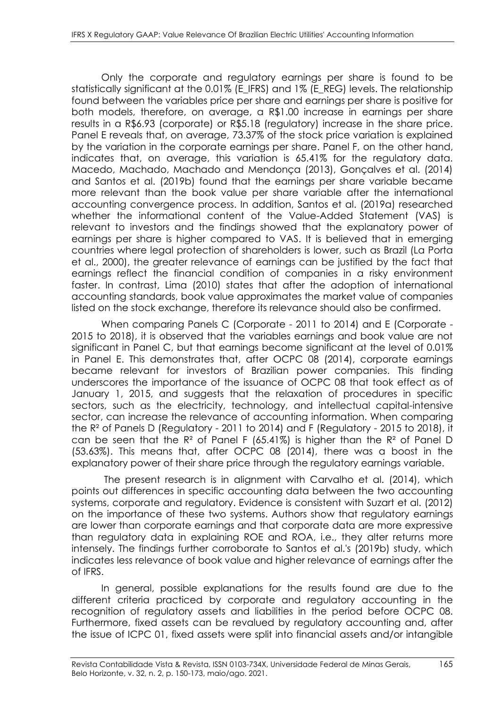Only the corporate and regulatory earnings per share is found to be statistically significant at the 0.01% (E\_IFRS) and 1% (E\_REG) levels. The relationship found between the variables price per share and earnings per share is positive for both models, therefore, on average, a R\$1.00 increase in earnings per share results in a R\$6.93 (corporate) or R\$5.18 (regulatory) increase in the share price. Panel E reveals that, on average, 73.37% of the stock price variation is explained by the variation in the corporate earnings per share. Panel F, on the other hand, indicates that, on average, this variation is 65.41% for the regulatory data. Macedo, Machado, Machado and Mendonça (2013), Gonçalves et al. (2014) and Santos et al. (2019b) found that the earnings per share variable became more relevant than the book value per share variable after the international accounting convergence process. In addition, Santos et al. (2019a) researched whether the informational content of the Value-Added Statement (VAS) is relevant to investors and the findings showed that the explanatory power of earnings per share is higher compared to VAS. It is believed that in emerging countries where legal protection of shareholders is lower, such as Brazil (La Porta et al., 2000), the greater relevance of earnings can be justified by the fact that earnings reflect the financial condition of companies in a risky environment faster. In contrast, Lima (2010) states that after the adoption of international accounting standards, book value approximates the market value of companies listed on the stock exchange, therefore its relevance should also be confirmed.

When comparing Panels C (Corporate - 2011 to 2014) and E (Corporate - 2015 to 2018), it is observed that the variables earnings and book value are not significant in Panel C, but that earnings become significant at the level of 0.01% in Panel E. This demonstrates that, after OCPC 08 (2014), corporate earnings became relevant for investors of Brazilian power companies. This finding underscores the importance of the issuance of OCPC 08 that took effect as of January 1, 2015, and suggests that the relaxation of procedures in specific sectors, such as the electricity, technology, and intellectual capital-intensive sector, can increase the relevance of accounting information. When comparing the R² of Panels D (Regulatory - 2011 to 2014) and F (Regulatory - 2015 to 2018), it can be seen that the  $R^2$  of Panel F (65.41%) is higher than the  $R^2$  of Panel D (53.63%). This means that, after OCPC 08 (2014), there was a boost in the explanatory power of their share price through the regulatory earnings variable.

The present research is in alignment with Carvalho et al. (2014), which points out differences in specific accounting data between the two accounting systems, corporate and regulatory. Evidence is consistent with Suzart et al. (2012) on the importance of these two systems. Authors show that regulatory earnings are lower than corporate earnings and that corporate data are more expressive than regulatory data in explaining ROE and ROA, i.e., they alter returns more intensely. The findings further corroborate to Santos et al.'s (2019b) study, which indicates less relevance of book value and higher relevance of earnings after the of IFRS.

In general, possible explanations for the results found are due to the different criteria practiced by corporate and regulatory accounting in the recognition of regulatory assets and liabilities in the period before OCPC 08. Furthermore, fixed assets can be revalued by regulatory accounting and, after the issue of ICPC 01, fixed assets were split into financial assets and/or intangible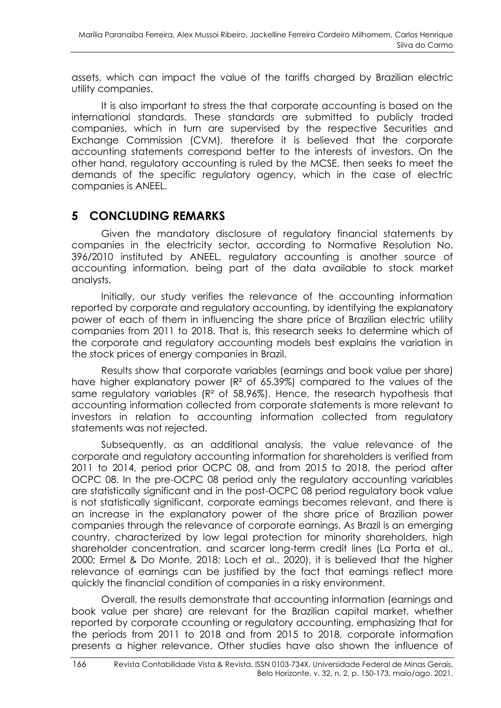assets, which can impact the value of the tariffs charged by Brazilian electric utility companies.

It is also important to stress the that corporate accounting is based on the international standards. These standards are submitted to publicly traded companies, which in turn are supervised by the respective Securities and Exchange Commission (CVM), therefore it is believed that the corporate accounting statements correspond better to the interests of investors. On the other hand, regulatory accounting is ruled by the MCSE, then seeks to meet the demands of the specific regulatory agency, which in the case of electric companies is ANEEL.

# **5 CONCLUDING REMARKS**

Given the mandatory disclosure of regulatory financial statements by companies in the electricity sector, according to Normative Resolution No. 396/2010 instituted by ANEEL, regulatory accounting is another source of accounting information, being part of the data available to stock market analysts.

Initially, our study verifies the relevance of the accounting information reported by corporate and regulatory accounting, by identifying the explanatory power of each of them in influencing the share price of Brazilian electric utility companies from 2011 to 2018. That is, this research seeks to determine which of the corporate and regulatory accounting models best explains the variation in the stock prices of energy companies in Brazil.

Results show that corporate variables (earnings and book value per share) have higher explanatory power (R² of 65.39%) compared to the values of the same regulatory variables (R² of 58.96%). Hence, the research hypothesis that accounting information collected from corporate statements is more relevant to investors in relation to accounting information collected from regulatory statements was not rejected.

Subsequently, as an additional analysis, the value relevance of the corporate and regulatory accounting information for shareholders is verified from 2011 to 2014, period prior OCPC 08, and from 2015 to 2018, the period after OCPC 08. In the pre-OCPC 08 period only the regulatory accounting variables are statistically significant and in the post-OCPC 08 period regulatory book value is not statistically significant, corporate earnings becomes relevant, and there is an increase in the explanatory power of the share price of Brazilian power companies through the relevance of corporate earnings. As Brazil is an emerging country, characterized by low legal protection for minority shareholders, high shareholder concentration, and scarcer long-term credit lines (La Porta et al., 2000; Ermel & Do Monte, 2018; Loch et al., 2020), it is believed that the higher relevance of earnings can be justified by the fact that earnings reflect more quickly the financial condition of companies in a risky environment.

Overall, the results demonstrate that accounting information (earnings and book value per share) are relevant for the Brazilian capital market, whether reported by corporate ccounting or regulatory accounting, emphasizing that for the periods from 2011 to 2018 and from 2015 to 2018, corporate information presents a higher relevance. Other studies have also shown the influence of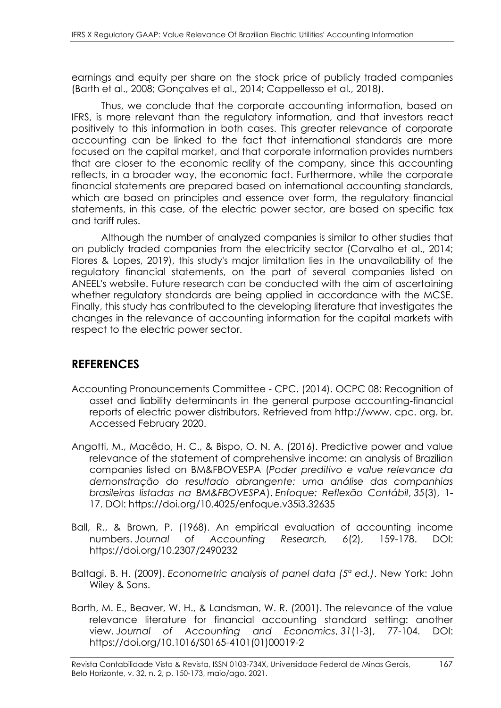earnings and equity per share on the stock price of publicly traded companies (Barth et al., 2008; Gonçalves et al., 2014; Cappellesso et al., 2018).

Thus, we conclude that the corporate accounting information, based on IFRS, is more relevant than the regulatory information, and that investors react positively to this information in both cases. This greater relevance of corporate accounting can be linked to the fact that international standards are more focused on the capital market, and that corporate information provides numbers that are closer to the economic reality of the company, since this accounting reflects, in a broader way, the economic fact. Furthermore, while the corporate financial statements are prepared based on international accounting standards, which are based on principles and essence over form, the regulatory financial statements, in this case, of the electric power sector, are based on specific tax and tariff rules.

Although the number of analyzed companies is similar to other studies that on publicly traded companies from the electricity sector (Carvalho et al., 2014; Flores & Lopes, 2019), this study's major limitation lies in the unavailability of the regulatory financial statements, on the part of several companies listed on ANEEL's website. Future research can be conducted with the aim of ascertaining whether regulatory standards are being applied in accordance with the MCSE. Finally, this study has contributed to the developing literature that investigates the changes in the relevance of accounting information for the capital markets with respect to the electric power sector.

# **REFERENCES**

- Accounting Pronouncements Committee CPC. (2014). OCPC 08: Recognition of asset and liability determinants in the general purpose accounting-financial reports of electric power distributors. Retrieved from http://www. cpc. org. br. Accessed February 2020.
- Angotti, M., Macêdo, H. C., & Bispo, O. N. A. (2016). Predictive power and value relevance of the statement of comprehensive income: an analysis of Brazilian companies listed on BM&FBOVESPA (*Poder preditivo e value relevance da demonstração do resultado abrangente: uma análise das companhias brasileiras listadas na BM&FBOVESPA*). *Enfoque: Reflexão Contábil*, *35*(3), 1- 17. DOI: [https://doi.org/1](https://na01.safelinks.protection.outlook.com/?url=https%3A%2F%2Fdoi.org%2F&data=04%7C01%7C%7Cf8f03e6afc4541f9c04208d9013e62c2%7C84df9e7fe9f640afb435aaaaaaaaaaaa%7C1%7C0%7C637542189728845590%7CUnknown%7CTWFpbGZsb3d8eyJWIjoiMC4wLjAwMDAiLCJQIjoiV2luMzIiLCJBTiI6Ik1haWwiLCJXVCI6Mn0%3D%7C1000&sdata=yfygMIdNAcB%2FjQ4OsQcc1gvfO2nWQrBxdBfr%2FsudIJE%3D&reserved=0)0.4025/enfoque.v35i3.32635
- Ball, R., & Brown, P. (1968). An empirical evaluation of accounting income numbers. *Journal of Accounting Research, 6*(2), 159-178. DOI: [https://doi.org/1](https://na01.safelinks.protection.outlook.com/?url=https%3A%2F%2Fdoi.org%2F&data=04%7C01%7C%7Cf8f03e6afc4541f9c04208d9013e62c2%7C84df9e7fe9f640afb435aaaaaaaaaaaa%7C1%7C0%7C637542189728845590%7CUnknown%7CTWFpbGZsb3d8eyJWIjoiMC4wLjAwMDAiLCJQIjoiV2luMzIiLCJBTiI6Ik1haWwiLCJXVCI6Mn0%3D%7C1000&sdata=yfygMIdNAcB%2FjQ4OsQcc1gvfO2nWQrBxdBfr%2FsudIJE%3D&reserved=0)0.2307/2490232
- Baltagi, B. H. (2009). *Econometric analysis of panel data (5ª ed.)*. New York: John Wiley & Sons.
- Barth, M. E., Beaver, W. H., & Landsman, W. R. (2001). The relevance of the value relevance literature for financial accounting standard setting: another view. *Journal of Accounting and Economics*, *31*(1-3), 77-104. DOI: [https://doi.org/10.1016/S0165-4101\(01\)00019-2](https://doi.org/10.1016/S0165-4101(01)00019-2)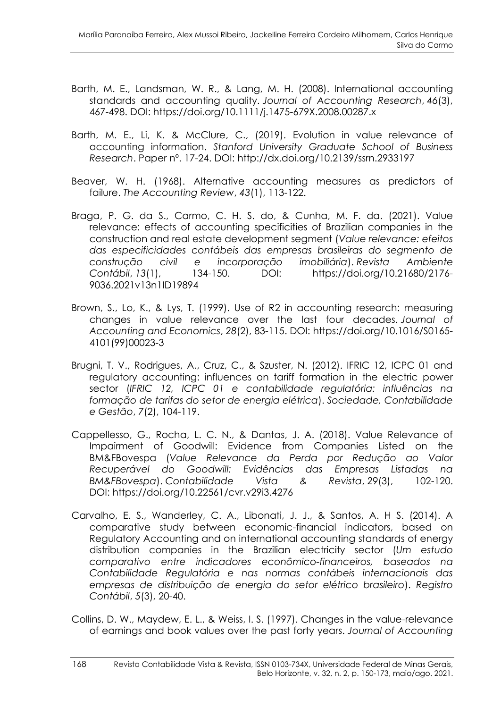- Barth, M. E., Landsman, W. R., & Lang, M. H. (2008). International accounting standards and accounting quality. *Journal of Accounting Research*, *46*(3), 467-498. DOI:<https://doi.org/10.1111/j.1475-679X.2008.00287.x>
- Barth, M. E., Li, K. & McClure, C., (2019). Evolution in value relevance of accounting information. *Stanford University Graduate School of Business Research*. Paper nº. 17-24. DOI: [http://dx.doi.org/10.2139/ssrn.2933197](https://dx.doi.org/10.2139/ssrn.2933197)
- Beaver, W. H. (1968). Alternative accounting measures as predictors of failure. *The Accounting Review*, *43*(1), 113-122.
- Braga, P. G. da S., Carmo, C. H. S. do, & Cunha, M. F. da. (2021). Value relevance: effects of accounting specificities of Brazilian companies in the construction and real estate development segment (*Value relevance: efeitos das especificidades contábeis das empresas brasileiras do segmento de construção civil e incorporação imobiliária*). *Revista Ambiente Contábil*, *13*(1), 134-150. DOI: [https://doi.org/10.21680/2176-](https://doi.org/10.21680/2176-9036.2021v13n1ID19894) [9036.2021v13n1ID19894](https://doi.org/10.21680/2176-9036.2021v13n1ID19894)
- Brown, S., Lo, K., & Lys, T. (1999). Use of R2 in accounting research: measuring changes in value relevance over the last four decades. *Journal of Accounting and Economics*, *28*(2), 83-115. DOI: [https://doi.org/10.1016/S0165-](https://doi.org/10.1016/S0165-4101(99)00023-3) [4101\(99\)00023-3](https://doi.org/10.1016/S0165-4101(99)00023-3)
- Brugni, T. V., Rodrigues, A., Cruz, C., & Szuster, N. (2012). IFRIC 12, ICPC 01 and regulatory accounting: influences on tariff formation in the electric power sector (*IFRIC 12, ICPC 01 e contabilidade regulatória: influências na formação de tarifas do setor de energia elétrica*). *Sociedade, Contabilidade e Gestão*, *7*(2), 104-119.
- Cappellesso, G., Rocha, L. C. N., & Dantas, J. A. (2018). Value Relevance of Impairment of Goodwill: Evidence from Companies Listed on the BM&FBovespa (*Value Relevance da Perda por Redução ao Valor Recuperável do Goodwill: Evidências das Empresas Listadas na BM&FBovespa*). *Contabilidade Vista & Revista*, *29*(3), 102-120. DOI: <https://doi.org/10.22561/cvr.v29i3.4276>
- Carvalho, E. S., Wanderley, C. A., Libonati, J. J., & Santos, A. H S. (2014). A comparative study between economic-financial indicators, based on Regulatory Accounting and on international accounting standards of energy distribution companies in the Brazilian electricity sector (*Um estudo comparativo entre indicadores econômico-financeiros, baseados na Contabilidade Regulatória e nas normas contábeis internacionais das empresas de distribuição de energia do setor elétrico brasileiro*). *Registro Contábil*, *5*(3), 20-40.
- Collins, D. W., Maydew, E. L., & Weiss, I. S. (1997). Changes in the value-relevance of earnings and book values over the past forty years. *Journal of Accounting*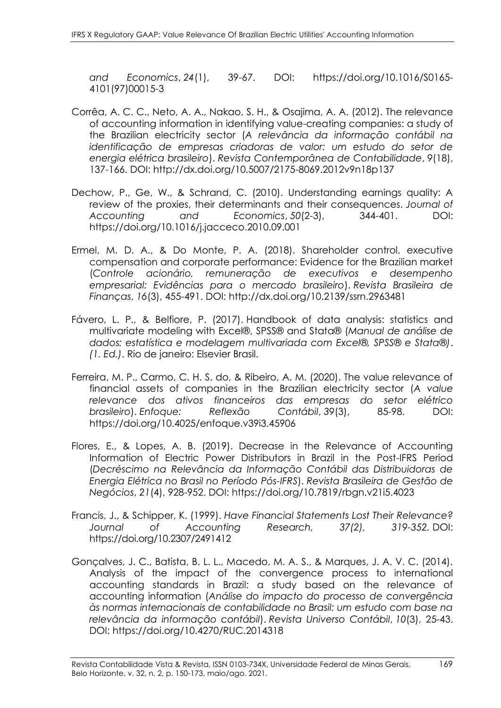*and Economics*, *24*(1), 39-67. DOI: [https://doi.org/10.1016/S0165-](https://doi.org/10.1016/S0165-4101(97)00015-3) [4101\(97\)00015-3](https://doi.org/10.1016/S0165-4101(97)00015-3)

- Corrêa, A. C. C., Neto, A. A., Nakao, S. H., & Osajima, A. A. (2012). The relevance of accounting information in identifying value-creating companies: a study of the Brazilian electricity sector (*A relevância da informação contábil na identificação de empresas criadoras de valor: um estudo do setor de energia elétrica brasileiro*). *Revista Contemporânea de Contabilidade*, *9*(18), 137-166. DOI: http://dx.doi.org/10.5007/2175-8069.2012v9n18p137
- Dechow, P., Ge, W., & Schrand, C. (2010). Understanding earnings quality: A review of the proxies, their determinants and their consequences. *Journal of Accounting and Economics*, *50*(2-3), 344-401. DOI: <https://doi.org/10.1016/j.jacceco.2010.09.001>
- Ermel, M. D. A., & Do Monte, P. A. (2018). Shareholder control, executive compensation and corporate performance: Evidence for the Brazilian market (*Controle acionário, remuneração de executivos e desempenho empresarial: Evidências para o mercado brasileiro*). *Revista Brasileira de Finanças*, *16*(3), 455-491. DOI: [http://dx.doi.org/10.2139/ssrn.2963481](https://dx.doi.org/10.2139/ssrn.2963481)
- Fávero, L. P., & Belfiore, P. (2017). Handbook of data analysis: statistics and multivariate modeling with Excel®, SPSS® and Stata® (*Manual de análise de dados: estatística e modelagem multivariada com Excel®, SPSS® e Stata®)*. *(1. Ed.)*. Rio de janeiro: Elsevier Brasil.
- Ferreira, M. P., Carmo, C. H. S. do, & Ribeiro, A. M. (2020). The value relevance of financial assets of companies in the Brazilian electricity sector (*A value relevance dos ativos financeiros das empresas do setor elétrico brasileiro*). *Enfoque: Reflexão Contábil*, *39*(3), 85-98. DOI: <https://doi.org/10.4025/enfoque.v39i3.45906>
- Flores, E., & Lopes, A. B. (2019). Decrease in the Relevance of Accounting Information of Electric Power Distributors in Brazil in the Post-IFRS Period (*Decréscimo na Relevância da Informação Contábil das Distribuidoras de Energia Elétrica no Brasil no Período Pós-IFRS*). *Revista Brasileira de Gestão de Negócios*, *21*(4), 928-952. DOI:<https://doi.org/10.7819/rbgn.v21i5.4023>
- Francis, J., & Schipper, K. (1999). *Have Financial Statements Lost Their Relevance? Journal of Accounting Research, 37(2), 319-352.* DOI: <https://doi.org/10.2307/2491412>
- Gonçalves, J. C., Batista, B. L. L., Macedo, M. A. S., & Marques, J. A. V. C. (2014). Analysis of the impact of the convergence process to international accounting standards in Brazil: a study based on the relevance of accounting information (*Análise do impacto do processo de convergência às normas internacionais de contabilidade no Brasil: um estudo com base na relevância da informação contábil*). *Revista Universo Contábil*, *10*(3), 25-43. DOI: [https://doi.org/1](https://na01.safelinks.protection.outlook.com/?url=https%3A%2F%2Fdoi.org%2F&data=04%7C01%7C%7Cf8f03e6afc4541f9c04208d9013e62c2%7C84df9e7fe9f640afb435aaaaaaaaaaaa%7C1%7C0%7C637542189728845590%7CUnknown%7CTWFpbGZsb3d8eyJWIjoiMC4wLjAwMDAiLCJQIjoiV2luMzIiLCJBTiI6Ik1haWwiLCJXVCI6Mn0%3D%7C1000&sdata=yfygMIdNAcB%2FjQ4OsQcc1gvfO2nWQrBxdBfr%2FsudIJE%3D&reserved=0)0.4270/RUC.2014318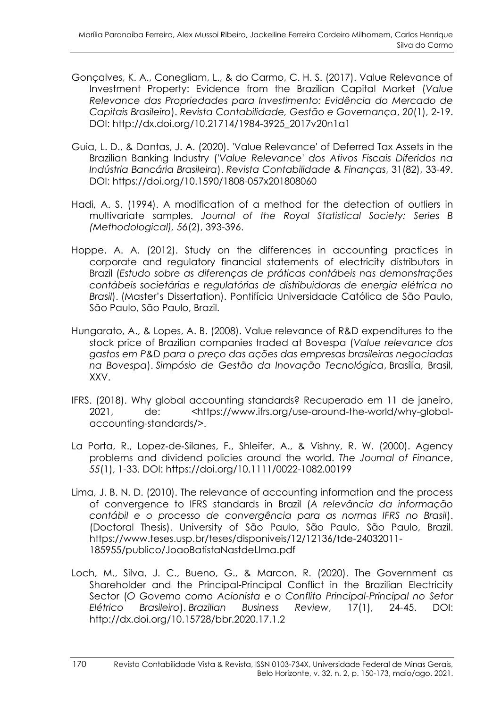- Gonçalves, K. A., Conegliam, L., & do Carmo, C. H. S. (2017). Value Relevance of Investment Property: Evidence from the Brazilian Capital Market (*Value Relevance das Propriedades para Investimento: Evidência do Mercado de Capitais Brasileiro*). *Revista Contabilidade, Gestão e Governança*, *20*(1), 2-19. DOI: http://dx.doi.org/10.21714/1984-3925\_2017v20n1a1
- Guia, L. D., & Dantas, J. A. (2020). 'Value Relevance' of Deferred Tax Assets in the Brazilian Banking Industry (*'Value Relevance' dos Ativos Fiscais Diferidos na Indústria Bancária Brasileira*). *Revista Contabilidade & Finanças*, 31(82), 33-49. DOI: https://doi.org/10.1590/1808-057x201808060
- Hadi, A. S. (1994). A modification of a method for the detection of outliers in multivariate samples. *Journal of the Royal Statistical Society: Series B (Methodological), 56*(2), 393-396.
- Hoppe, A. A. (2012). Study on the differences in accounting practices in corporate and regulatory financial statements of electricity distributors in Brazil (*Estudo sobre as diferenças de práticas contábeis nas demonstrações contábeis societárias e regulatórias de distribuidoras de energia elétrica no Brasil*). (Master's Dissertation). Pontifícia Universidade Católica de São Paulo, São Paulo, São Paulo, Brazil.
- Hungarato, A., & Lopes, A. B. (2008). Value relevance of R&D expenditures to the stock price of Brazilian companies traded at Bovespa (*Value relevance dos gastos em P&D para o preço das ações das empresas brasileiras negociadas na Bovespa*). *Simpósio de Gestão da Inovação Tecnológica*, Brasília, Brasil, XXV.
- IFRS. (2018). Why global accounting standards? Recuperado em 11 de janeiro, 2021, de: <https://www.ifrs.org/use-around-the-world/why-globalaccounting-standards/>.
- La Porta, R., Lopez‐de‐Silanes, F., Shleifer, A., & Vishny, R. W. (2000). Agency problems and dividend policies around the world. *The Journal of Finance*, *55*(1), 1-33. DOI:<https://doi.org/10.1111/0022-1082.00199>
- Lima, J. B. N. D. (2010). The relevance of accounting information and the process of convergence to IFRS standards in Brazil (*A relevância da informação contábil e o processo de convergência para as normas IFRS no Brasil*). (Doctoral Thesis). University of São Paulo, São Paulo, São Paulo, Brazil. https://www.teses.usp.br/teses/disponiveis/12/12136/tde-24032011- 185955/publico/JoaoBatistaNastdeLIma.pdf
- Loch, M., Silva, J. C., Bueno, G., & Marcon, R. (2020). The Government as Shareholder and the Principal-Principal Conflict in the Brazilian Electricity Sector (*O Governo como Acionista e o Conflito Principal-Principal no Setor Elétrico Brasileiro*). *Brazilian Business Review*, 17(1), 24-45. DOI: <http://dx.doi.org/10.15728/bbr.2020.17.1.2>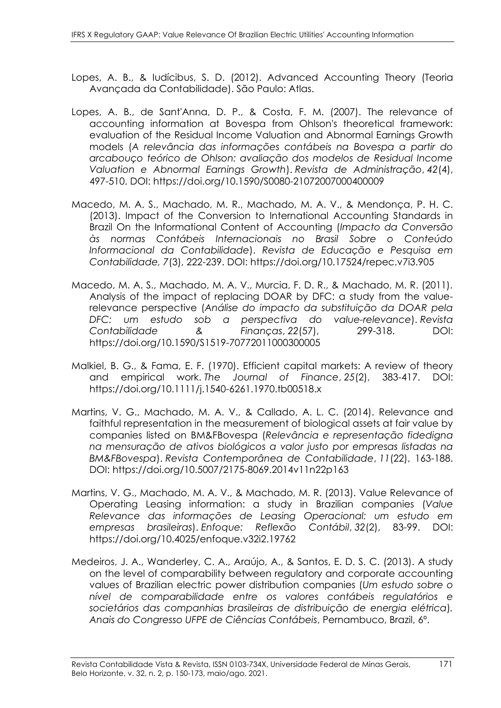- Lopes, A. B., & Iudícibus, S. D. (2012). Advanced Accounting Theory (Teoria Avançada da Contabilidade). São Paulo: Atlas.
- Lopes, A. B., de Sant'Anna, D. P., & Costa, F. M. (2007). The relevance of accounting information at Bovespa from Ohlson's theoretical framework: evaluation of the Residual Income Valuation and Abnormal Earnings Growth models (*A relevância das informações contábeis na Bovespa a partir do arcabouço teórico de Ohlson: avaliação dos modelos de Residual Income Valuation e Abnormal Earnings Growth*). *Revista de Administração*, *42*(4), 497-510. DOI: <https://doi.org/10.1590/S0080-21072007000400009>
- Macedo, M. A. S., Machado, M. R., Machado, M. A. V., & Mendonça, P. H. C. (2013). Impact of the Conversion to International Accounting Standards in Brazil On the Informational Content of Accounting (*Impacto da Conversão às normas Contábeis Internacionais no Brasil Sobre o Conteúdo Informacional da Contabilidade*). *Revista de Educação e Pesquisa em Contabilidade, 7*(3), 222-239. DOI:<https://doi.org/10.17524/repec.v7i3.905>
- Macedo, M. A. S., Machado, M. A. V., Murcia, F. D. R., & Machado, M. R. (2011). Analysis of the impact of replacing DOAR by DFC: a study from the valuerelevance perspective (*Análise do impacto da substituição da DOAR pela DFC: um estudo sob a perspectiva do value-relevance*). *Revista Contabilidade & Finanças*, *22*(57), 299-318. DOI: <https://doi.org/10.1590/S1519-70772011000300005>
- Malkiel, B. G., & Fama, E. F. (1970). Efficient capital markets: A review of theory and empirical work. *The Journal of Finance*, *25*(2), 383-417. DOI: <https://doi.org/10.1111/j.1540-6261.1970.tb00518.x>
- Martins, V. G., Machado, M. A. V., & Callado, A. L. C. (2014). Relevance and faithful representation in the measurement of biological assets at fair value by companies listed on BM&FBovespa (*Relevância e representação fidedigna na mensuração de ativos biológicos a valor justo por empresas listadas na BM&FBovespa*). *Revista Contemporânea de Contabilidade*, *11*(22), 163-188. DOI:<https://doi.org/10.5007/2175-8069.2014v11n22p163>
- Martins, V. G., Machado, M. A. V., & Machado, M. R. (2013). Value Relevance of Operating Leasing information: a study in Brazilian companies (*Value Relevance das informações de Leasing Operacional: um estudo em empresas brasileiras*). *Enfoque: Reflexão Contábil*, *32*(2), 83-99. DOI: [https://doi.org/1](https://na01.safelinks.protection.outlook.com/?url=https%3A%2F%2Fdoi.org%2F&data=04%7C01%7C%7Cf8f03e6afc4541f9c04208d9013e62c2%7C84df9e7fe9f640afb435aaaaaaaaaaaa%7C1%7C0%7C637542189728845590%7CUnknown%7CTWFpbGZsb3d8eyJWIjoiMC4wLjAwMDAiLCJQIjoiV2luMzIiLCJBTiI6Ik1haWwiLCJXVCI6Mn0%3D%7C1000&sdata=yfygMIdNAcB%2FjQ4OsQcc1gvfO2nWQrBxdBfr%2FsudIJE%3D&reserved=0)0.4025/enfoque.v32i2.19762
- Medeiros, J. A., Wanderley, C. A., Araújo, A., & Santos, E. D. S. C. (2013). A study on the level of comparability between regulatory and corporate accounting values of Brazilian electric power distribution companies (*Um estudo sobre o nível de comparabilidade entre os valores contábeis regulatórios e societários das companhias brasileiras de distribuição de energia elétrica*)*. Anais do Congresso UFPE de Ciências Contábeis*, Pernambuco, Brazil, 6º.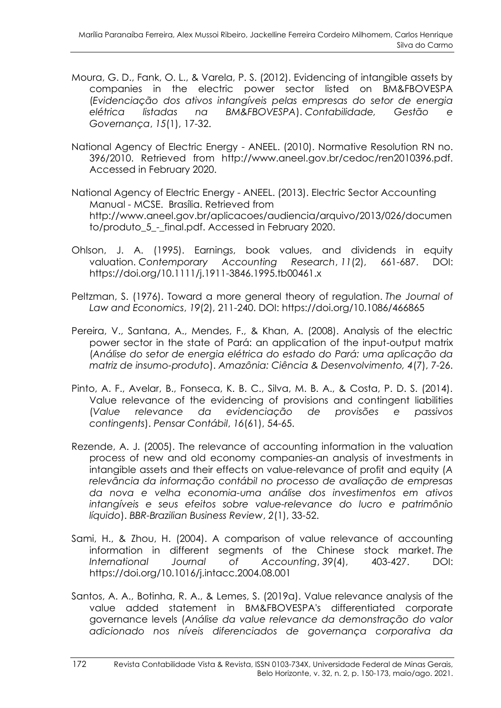- Moura, G. D., Fank, O. L., & Varela, P. S. (2012). Evidencing of intangible assets by companies in the electric power sector listed on BM&FBOVESPA (*Evidenciação dos ativos intangíveis pelas empresas do setor de energia elétrica listadas na BM&FBOVESPA*). *Contabilidade, Gestão e Governança*, *15*(1), 17-32.
- National Agency of Electric Energy ANEEL. (2010). Normative Resolution RN no. 396/2010. Retrieved from http://www.aneel.gov.br/cedoc/ren2010396.pdf. Accessed in February 2020.
- National Agency of Electric Energy ANEEL. (2013). Electric Sector Accounting Manual - MCSE. Brasília. Retrieved from http://www.aneel.gov.br/aplicacoes/audiencia/arquivo/2013/026/documen to/produto 5 - final.pdf. Accessed in February 2020.
- Ohlson, J. A. (1995). Earnings, book values, and dividends in equity valuation. *Contemporary Accounting Research*, *11*(2), 661-687. DOI: <https://doi.org/10.1111/j.1911-3846.1995.tb00461.x>
- Peltzman, S. (1976). Toward a more general theory of regulation. *The Journal of Law and Economics*, *19*(2), 211-240. DOI:<https://doi.org/10.1086/466865>
- Pereira, V., Santana, A., Mendes, F., & Khan, A. (2008). Analysis of the electric power sector in the state of Pará: an application of the input-output matrix (*Análise do setor de energia elétrica do estado do Pará: uma aplicação da matriz de insumo-produto*). *Amazônia: Ciência & Desenvolvimento, 4*(7), 7-26.
- Pinto, A. F., Avelar, B., Fonseca, K. B. C., Silva, M. B. A., & Costa, P. D. S. (2014). Value relevance of the evidencing of provisions and contingent liabilities (*Value relevance da evidenciação de provisões e passivos contingents*). *Pensar Contábil*, *16*(61), 54-65.
- Rezende, A. J. (2005). The relevance of accounting information in the valuation process of new and old economy companies-an analysis of investments in intangible assets and their effects on value-relevance of profit and equity (*A relevância da informação contábil no processo de avaliação de empresas da nova e velha economia-uma análise dos investimentos em ativos intangíveis e seus efeitos sobre value-relevance do lucro e patrimônio líquido*). *BBR-Brazilian Business Review*, *2*(1), 33-52.
- Sami, H., & Zhou, H. (2004). A comparison of value relevance of accounting information in different segments of the Chinese stock market. *The International Journal of Accounting*, *39*(4), 403-427. DOI: <https://doi.org/10.1016/j.intacc.2004.08.001>
- Santos, A. A., Botinha, R. A., & Lemes, S. (2019a). Value relevance analysis of the value added statement in BM&FBOVESPA's differentiated corporate governance levels (*Análise da value relevance da demonstração do valor adicionado nos níveis diferenciados de governança corporativa da*